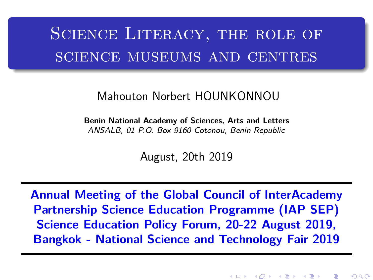# <span id="page-0-0"></span>SCIENCE LITERACY, THE ROLE OF science museums and centres

#### Mahouton Norbert HOUNKONNOU

**Benin National Academy of Sciences, Arts and Letters** ANSALB, 01 P.O. Box 9160 Cotonou, Benin Republic

August, 20th 2019

**Annual Meeting of the Global Council of InterAcademy Partnership Science Education Programme (IAP SEP) Science Education Policy Forum, 20-22 August 2019, Bangkok - National Science and Technology Fair 2019**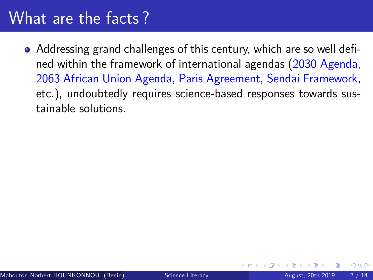### What are the facts ?

Addressing grand challenges of this century, which are so well defined within the framework of international agendas (2030 Agenda, 2063 African Union Agenda, Paris Agreement, Sendai Framework, etc.), undoubtedly requires science-based responses towards sustainable solutions.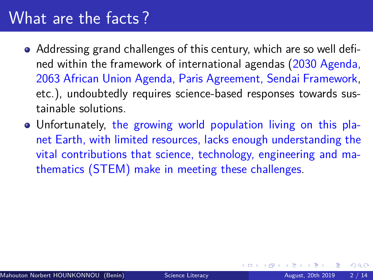### <span id="page-2-0"></span>What are the facts ?

- Addressing grand challenges of this century, which are so well defined within the framework of international agendas (2030 Agenda, 2063 African Union Agenda, Paris Agreement, Sendai Framework, etc.), undoubtedly requires science-based responses towards sustainable solutions.
- Unfortunately, the growing world population living on this planet Earth, with limited resources, lacks enough understanding the vital contributions that science, technology, engineering and mathematics (STEM) make in meeting these challenges.

 $200$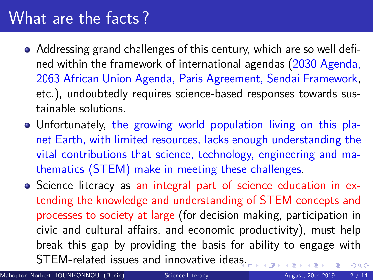### What are the facts ?

- Addressing grand challenges of this century, which are so well defined within the framework of international agendas (2030 Agenda, 2063 African Union Agenda, Paris Agreement, Sendai Framework, etc.), undoubtedly requires science-based responses towards sustainable solutions.
- Unfortunately, the growing world population living on this planet Earth, with limited resources, lacks enough understanding the vital contributions that science, technology, engineering and mathematics (STEM) make in meeting these challenges.
- Science literacy as an integral part of science education in extending the knowledge and understanding of STEM concepts and processes to society at large (for decision making, participation in civic and cultural affairs, and economic productivity), must help break this gap by providing the basis for ability to engage with STEM-related issues and innovative ide[as.](#page-2-0)  $QQ$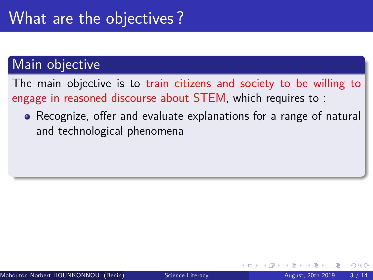The main objective is to train citizens and society to be willing to engage in reasoned discourse about STEM, which requires to :

• Recognize, offer and evaluate explanations for a range of natural and technological phenomena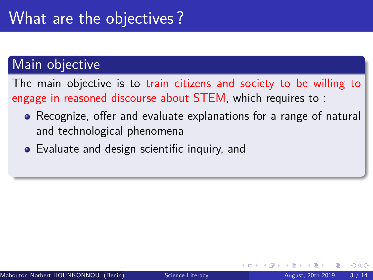The main objective is to train citizens and society to be willing to engage in reasoned discourse about STEM, which requires to :

- Recognize, offer and evaluate explanations for a range of natural and technological phenomena
- Evaluate and design scientific inquiry, and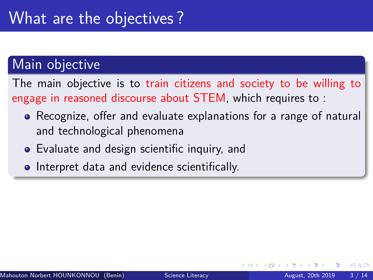The main objective is to train citizens and society to be willing to engage in reasoned discourse about STEM, which requires to :

- Recognize, offer and evaluate explanations for a range of natural and technological phenomena
- Evaluate and design scientific inquiry, and
- **Interpret data and evidence scientifically.**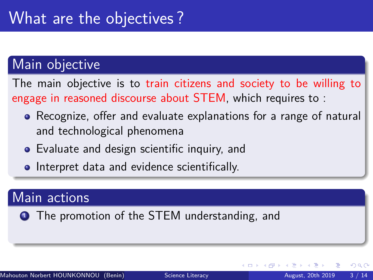The main objective is to train citizens and society to be willing to engage in reasoned discourse about STEM, which requires to :

- Recognize, offer and evaluate explanations for a range of natural and technological phenomena
- Evaluate and design scientific inquiry, and
- **Interpret data and evidence scientifically.**

#### Main actions

**1** The promotion of the STEM understanding, and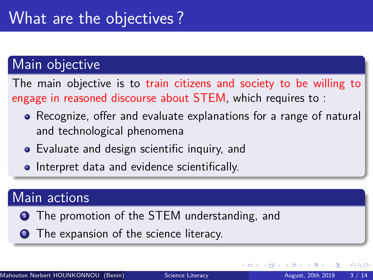The main objective is to train citizens and society to be willing to engage in reasoned discourse about STEM, which requires to :

- Recognize, offer and evaluate explanations for a range of natural and technological phenomena
- Evaluate and design scientific inquiry, and
- **Interpret data and evidence scientifically.**

#### Main actions

- **1** The promotion of the STEM understanding, and
- **2** The expansion of the science literacy.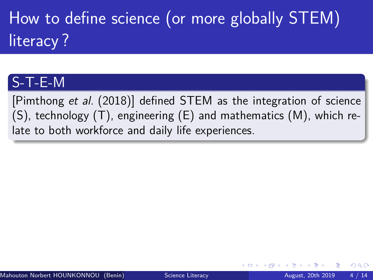How to define science (or more globally STEM) literacy ?

### S-T-E-M

[\[Pimthong](#page-48-0) et al. (2018)] defined STEM as the integration of science  $(S)$ , technology  $(T)$ , engineering  $(E)$  and mathematics  $(M)$ , which relate to both workforce and daily life experiences.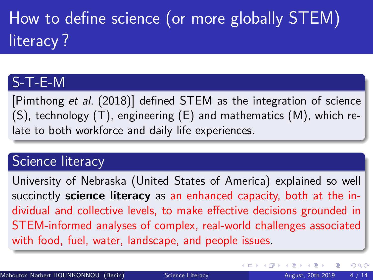# How to define science (or more globally STEM) literacy ?

### S-T-E-M

[\[Pimthong](#page-48-0) et al. (2018)] defined STEM as the integration of science  $(S)$ , technology  $(T)$ , engineering  $(E)$  and mathematics  $(M)$ , which relate to both workforce and daily life experiences.

#### Science literacy

University of Nebraska (United States of America) explained so well succinctly **science literacy** as an enhanced capacity, both at the individual and collective levels, to make effective decisions grounded in STEM-informed analyses of complex, real-world challenges associated with food, fuel, water, landscape, and people issues.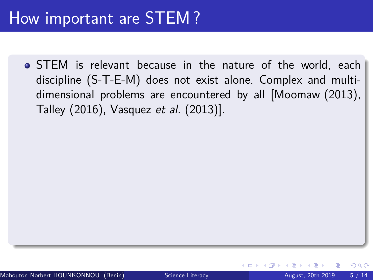### How important are STEM ?

STEM is relevant because in the nature of the world, each discipline (S-T-E-M) does not exist alone. Complex and multidimensional problems are encountered by all [\[Moomaw \(2013\),](#page-47-0) [Talley \(2016\),](#page-48-1) [Vasquez](#page-47-1) et al. (2013)].

 $200$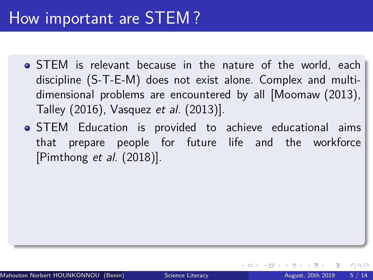### How important are STEM ?

- STEM is relevant because in the nature of the world, each discipline (S-T-E-M) does not exist alone. Complex and multidimensional problems are encountered by all [\[Moomaw \(2013\),](#page-47-0) [Talley \(2016\),](#page-48-1) [Vasquez](#page-47-1) et al. (2013)].
- STEM Education is provided to achieve educational aims that prepare people for future life and the workforce [\[Pimthong](#page-48-0) et al. (2018)].

 $QQ$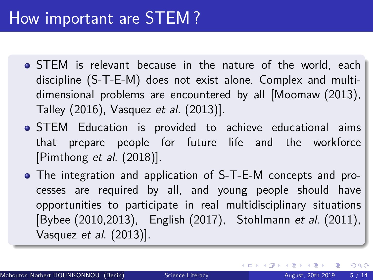- STEM is relevant because in the nature of the world, each discipline (S-T-E-M) does not exist alone. Complex and multidimensional problems are encountered by all [\[Moomaw \(2013\),](#page-47-0) [Talley \(2016\),](#page-48-1) [Vasquez](#page-47-1) et al. (2013)].
- STEM Education is provided to achieve educational aims that prepare people for future life and the workforce [\[Pimthong](#page-48-0) et al. (2018)].
- The integration and application of S-T-E-M concepts and processes are required by all, and young people should have opportunities to participate in real multidisciplinary situations [\[Bybee \(2010,2013\),](#page-46-0) [English \(2017\),](#page-46-1) [Stohlmann](#page-47-2) et al. (2011), Vasquez et al[. \(2013\)\]](#page-47-1).

 $\eta$ are G.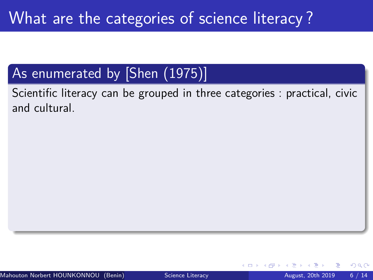Scientific literacy can be grouped in three categories : practical, civic and cultural.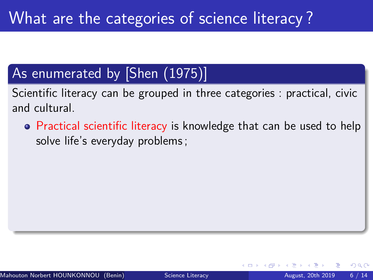Scientific literacy can be grouped in three categories : practical, civic and cultural.

**•** Practical scientific literacy is knowledge that can be used to help solve life's everyday problems ;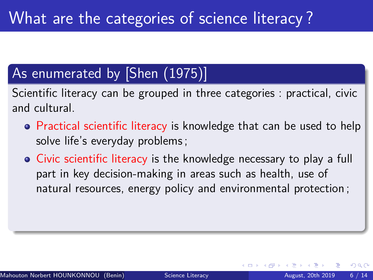Scientific literacy can be grouped in three categories : practical, civic and cultural.

- **•** Practical scientific literacy is knowledge that can be used to help solve life's everyday problems ;
- Civic scientific literacy is the knowledge necessary to play a full part in key decision-making in areas such as health, use of natural resources, energy policy and environmental protection ;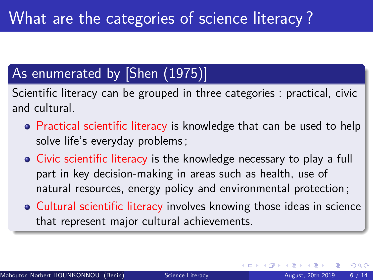Scientific literacy can be grouped in three categories : practical, civic and cultural.

- **•** Practical scientific literacy is knowledge that can be used to help solve life's everyday problems ;
- Civic scientific literacy is the knowledge necessary to play a full part in key decision-making in areas such as health, use of natural resources, energy policy and environmental protection ;
- **Cultural scientific literacy involves knowing those ideas in science** that represent major cultural achievements.

 $200$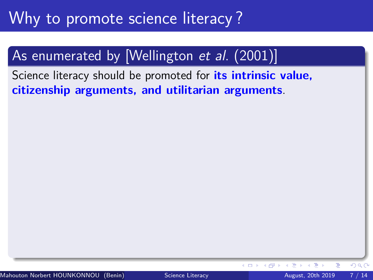### As enumerated by [\[Wellington](#page-47-3) et al. (2001)]

Science literacy should be promoted for **its intrinsic value, citizenship arguments, and utilitarian arguments**.

 $\leftarrow$   $\Box$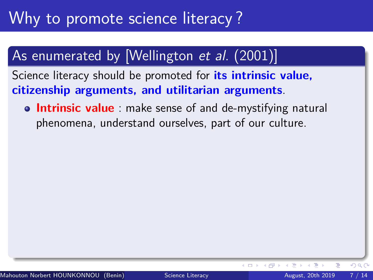### As enumerated by [\[Wellington](#page-47-3) et al. (2001)]

Science literacy should be promoted for **its intrinsic value, citizenship arguments, and utilitarian arguments**.

**Intrinsic value** : make sense of and de-mystifying natural phenomena, understand ourselves, part of our culture.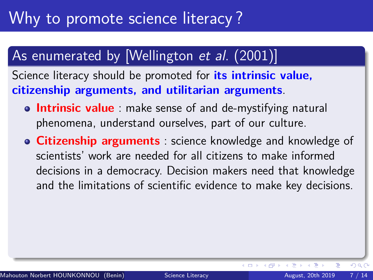### As enumerated by [\[Wellington](#page-47-3) et al. (2001)]

Science literacy should be promoted for **its intrinsic value, citizenship arguments, and utilitarian arguments**.

- **Intrinsic value** : make sense of and de-mystifying natural phenomena, understand ourselves, part of our culture.
- **Citizenship arguments** : science knowledge and knowledge of scientists' work are needed for all citizens to make informed decisions in a democracy. Decision makers need that knowledge and the limitations of scientific evidence to make key decisions.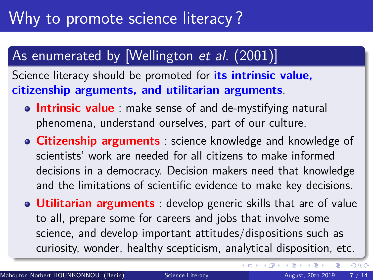### As enumerated by [\[Wellington](#page-47-3) *et al.* (2001)]

Science literacy should be promoted for **its intrinsic value, citizenship arguments, and utilitarian arguments**.

- **Intrinsic value**: make sense of and de-mystifying natural phenomena, understand ourselves, part of our culture.
- **Citizenship arguments** : science knowledge and knowledge of scientists' work are needed for all citizens to make informed decisions in a democracy. Decision makers need that knowledge and the limitations of scientific evidence to make key decisions.
- **Utilitarian arguments** : develop generic skills that are of value to all, prepare some for careers and jobs that involve some science, and develop important attitudes/dispositions such as curiosity, wonder, healthy scepticism, analytical disposition, etc.

 $\Omega$ 

**∢ ロ ▶ ィ 何 ▶ ィ**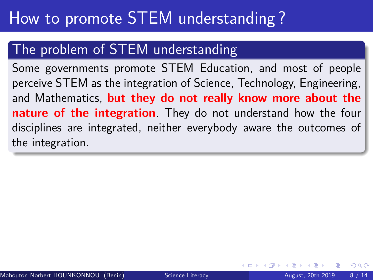## How to promote STEM understanding ?

#### The problem of STEM understanding

Some governments promote STEM Education, and most of people perceive STEM as the integration of Science, Technology, Engineering, and Mathematics, **but they do not really know more about the nature of the integration**. They do not understand how the four disciplines are integrated, neither everybody aware the outcomes of the integration.

つひひ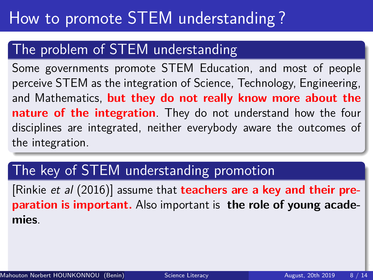#### The problem of STEM understanding

Some governments promote STEM Education, and most of people perceive STEM as the integration of Science, Technology, Engineering, and Mathematics, **but they do not really know more about the nature of the integration**. They do not understand how the four disciplines are integrated, neither everybody aware the outcomes of the integration.

### The key of STEM understanding promotion

[Rinkie et al [\(2016\)\]](#page-46-2) assume that **teachers are a key and their preparation is important.** Also important is **the role of young academies**.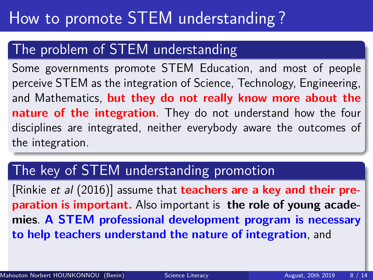#### The problem of STEM understanding

Some governments promote STEM Education, and most of people perceive STEM as the integration of Science, Technology, Engineering, and Mathematics, **but they do not really know more about the nature of the integration**. They do not understand how the four disciplines are integrated, neither everybody aware the outcomes of the integration.

### The key of STEM understanding promotion

[Rinkie et al [\(2016\)\]](#page-46-2) assume that **teachers are a key and their preparation is important.** Also important is **the role of young academies**. **A STEM professional development program is necessary to help teachers understand the nature of integration**, and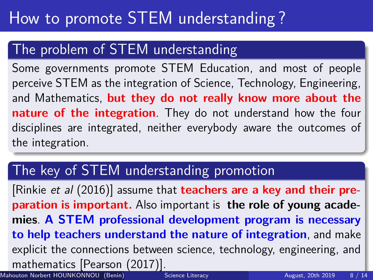#### The problem of STEM understanding

Some governments promote STEM Education, and most of people perceive STEM as the integration of Science, Technology, Engineering, and Mathematics, **but they do not really know more about the nature of the integration**. They do not understand how the four disciplines are integrated, neither everybody aware the outcomes of the integration.

### The key of STEM understanding promotion

[Rinkie et al [\(2016\)\]](#page-46-2) assume that **teachers are a key and their preparation is important.** Also important is **the role of young academies**. **A STEM professional development program is necessary to help teachers understand the nature of integration**, and make explicit the connections between science, technology, engineering, and mathematics [\[Pearson \(2017\)\]](#page-48-3). Mahouton Norbert HOUNKONNOU (Benin) [Science Literacy](#page-0-0) August, 20th 2019 8 / 14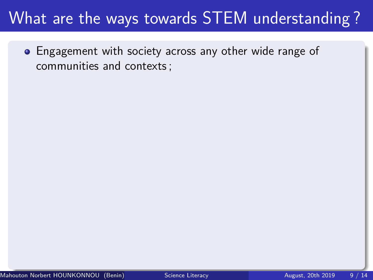Engagement with society across any other wide range of communities and contexts ;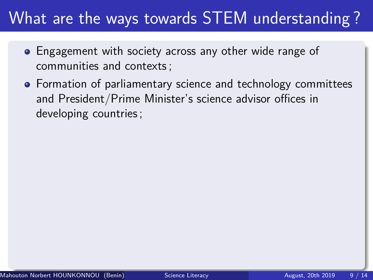- **•** Engagement with society across any other wide range of communities and contexts ;
- **•** Formation of parliamentary science and technology committees and President/Prime Minister's science advisor offices in developing countries ;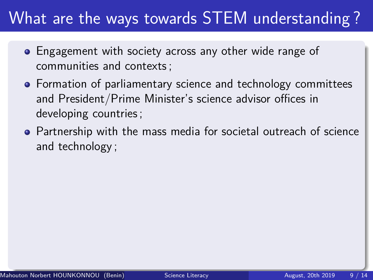- **•** Engagement with society across any other wide range of communities and contexts ;
- **•** Formation of parliamentary science and technology committees and President/Prime Minister's science advisor offices in developing countries ;
- Partnership with the mass media for societal outreach of science and technology ;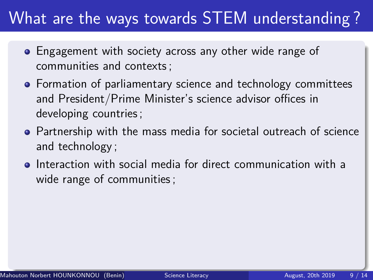- **•** Engagement with society across any other wide range of communities and contexts ;
- Formation of parliamentary science and technology committees and President/Prime Minister's science advisor offices in developing countries ;
- Partnership with the mass media for societal outreach of science and technology ;
- **•** Interaction with social media for direct communication with a wide range of communities ;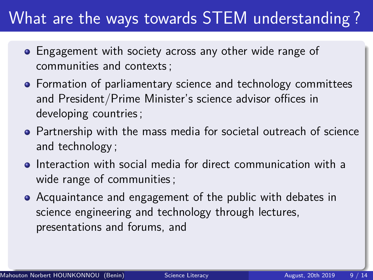- **•** Engagement with society across any other wide range of communities and contexts ;
- Formation of parliamentary science and technology committees and President/Prime Minister's science advisor offices in developing countries ;
- Partnership with the mass media for societal outreach of science and technology ;
- **•** Interaction with social media for direct communication with a wide range of communities ;
- Acquaintance and engagement of the public with debates in science engineering and technology through lectures, presentations and forums, and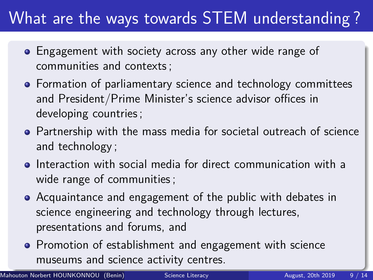- <span id="page-31-0"></span>**•** Engagement with society across any other wide range of communities and contexts ;
- Formation of parliamentary science and technology committees and President/Prime Minister's science advisor offices in developing countries ;
- Partnership with the mass media for societal outreach of science and technology ;
- Interaction with social media for direct communication with a wide range of communities ;
- Acquaintance and engagement of the public with debates in science engineering and technology through lectures, presentations and forums, and
- **Promotion of establishment and engagement with science** museums and science activity centres.

Mahouton Norbert HOUNKONNOU (Benin) [Science Literacy](#page-0-0) August, 20th 2019 9/14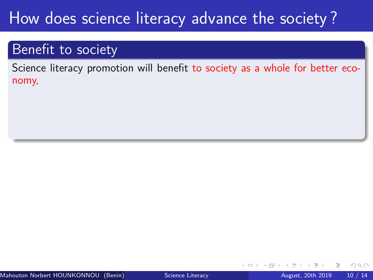#### <span id="page-32-0"></span>Benefit to society

Science literacy promotion will benefit to society as a whole for better economy,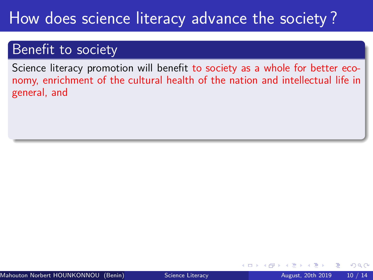#### Benefit to society

Science literacy promotion will benefit to society as a whole for better economy, enrichment of the cultural health of the nation and intellectual life in general, and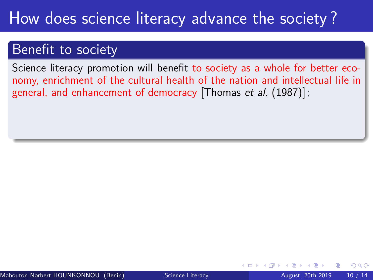#### Benefit to society

Science literacy promotion will benefit to society as a whole for better economy, enrichment of the cultural health of the nation and intellectual life in general, and enhancement of democracy [\[Thomas](#page-46-3) et al. (1987)] ;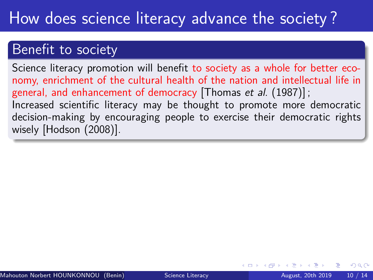#### Benefit to society

Science literacy promotion will benefit to society as a whole for better economy, enrichment of the cultural health of the nation and intellectual life in general, and enhancement of democracy [\[Thomas](#page-46-3) et al. (1987)]; Increased scientific literacy may be thought to promote more democratic decision-making by encouraging people to exercise their democratic rights wisely [\[Hodson \(2008\)\]](#page-47-4).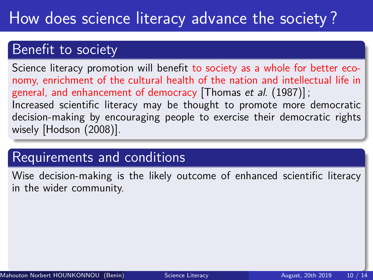#### Benefit to society

Science literacy promotion will benefit to society as a whole for better economy, enrichment of the cultural health of the nation and intellectual life in general, and enhancement of democracy [\[Thomas](#page-46-3) et al. (1987)] ; Increased scientific literacy may be thought to promote more democratic decision-making by encouraging people to exercise their democratic rights wisely [\[Hodson \(2008\)\]](#page-47-4).

### Requirements and conditions

Wise decision-making is the likely outcome of enhanced scientific literacy in the wider community.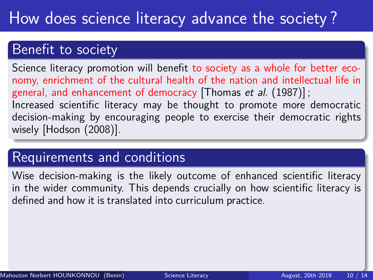#### Benefit to society

Science literacy promotion will benefit to society as a whole for better economy, enrichment of the cultural health of the nation and intellectual life in general, and enhancement of democracy [\[Thomas](#page-46-3) et al. (1987)]; Increased scientific literacy may be thought to promote more democratic decision-making by encouraging people to exercise their democratic rights wisely [\[Hodson \(2008\)\]](#page-47-4).

#### Requirements and conditions

Wise decision-making is the likely outcome of enhanced scientific literacy in the wider community. This depends crucially on how scientific literacy is defined and how it is translated into curriculum practice.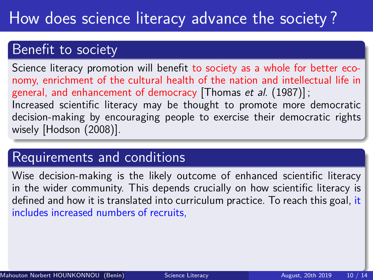#### Benefit to society

Science literacy promotion will benefit to society as a whole for better economy, enrichment of the cultural health of the nation and intellectual life in general, and enhancement of democracy [\[Thomas](#page-46-3) et al. (1987)]; Increased scientific literacy may be thought to promote more democratic decision-making by encouraging people to exercise their democratic rights wisely [\[Hodson \(2008\)\]](#page-47-4).

#### Requirements and conditions

Wise decision-making is the likely outcome of enhanced scientific literacy in the wider community. This depends crucially on how scientific literacy is defined and how it is translated into curriculum practice. To reach this goal, it includes increased numbers of recruits,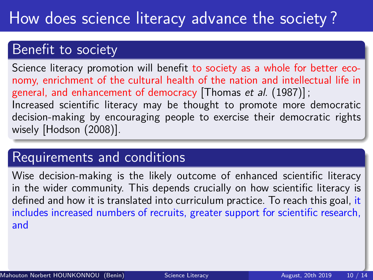#### Benefit to society

Science literacy promotion will benefit to society as a whole for better economy, enrichment of the cultural health of the nation and intellectual life in general, and enhancement of democracy [\[Thomas](#page-46-3) et al. (1987)]; Increased scientific literacy may be thought to promote more democratic decision-making by encouraging people to exercise their democratic rights wisely [\[Hodson \(2008\)\]](#page-47-4).

#### Requirements and conditions

Wise decision-making is the likely outcome of enhanced scientific literacy in the wider community. This depends crucially on how scientific literacy is defined and how it is translated into curriculum practice. To reach this goal, it includes increased numbers of recruits, greater support for scientific research, and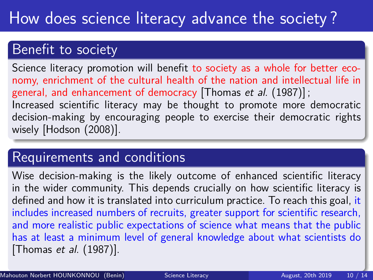#### <span id="page-40-0"></span>Benefit to society

Science literacy promotion will benefit to society as a whole for better economy, enrichment of the cultural health of the nation and intellectual life in general, and enhancement of democracy [\[Thomas](#page-46-3) et al. (1987)]; Increased scientific literacy may be thought to promote more democratic decision-making by encouraging people to exercise their democratic rights wisely [\[Hodson \(2008\)\]](#page-47-4).

#### Requirements and conditions

Wise decision-making is the likely outcome of enhanced scientific literacy in the wider community. This depends crucially on how scientific literacy is defined and how it is translated into curriculum practice. To reach this goal, it includes increased numbers of recruits, greater support for scientific research, and more realistic public expectations of science what means that the public has at least a minimum level of general knowledge about what scientists do [Thomas et al[. \(1987\)\]](#page-46-3).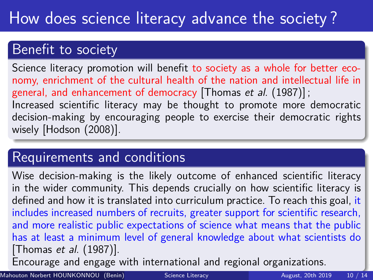#### <span id="page-41-0"></span>Benefit to society

Science literacy promotion will benefit to society as a whole for better economy, enrichment of the cultural health of the nation and intellectual life in general, and enhancement of democracy [\[Thomas](#page-46-3) et al. (1987)]; Increased scientific literacy may be thought to promote more democratic decision-making by encouraging people to exercise their democratic rights wisely [\[Hodson \(2008\)\]](#page-47-4).

### Requirements and conditions

Wise decision-making is the likely outcome of enhanced scientific literacy in the wider community. This depends crucially on how scientific literacy is defined and how it is translated into curriculum practice. To reach this goal, it includes increased numbers of recruits, greater support for scientific research, and more realistic public expectations of science what means that the public has at least a minimum level of general knowledge about what scientists do [Thomas et al[. \(1987\)\]](#page-46-3).

Encourage and engage with international and reg[ion](#page-40-0)[al](#page-42-0) [o](#page-31-0)[r](#page-32-0)[g](#page-41-0)[a](#page-42-0)[n](#page-31-0)[iz](#page-32-0)[a](#page-41-0)[t](#page-42-0)[i](#page-31-0)[o](#page-32-0)[n](#page-41-0)[s.](#page-42-0)

Mahouton Norbert HOUNKONNOU (Benin) [Science Literacy](#page-0-0) August, 20th 2019 10 / 14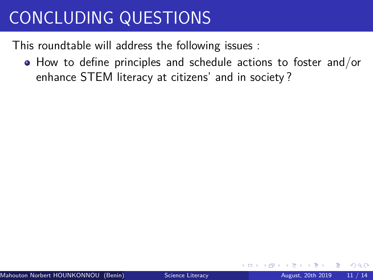<span id="page-42-0"></span>This roundtable will address the following issues :

How to define principles and schedule actions to foster and/or enhance STEM literacy at citizens' and in society ?

 $200$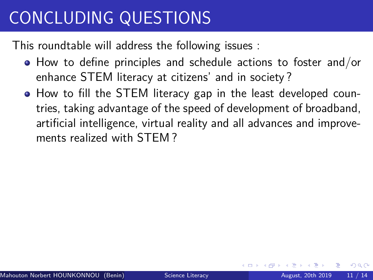This roundtable will address the following issues :

- How to define principles and schedule actions to foster and/or enhance STEM literacy at citizens' and in society ?
- How to fill the STEM literacy gap in the least developed countries, taking advantage of the speed of development of broadband, artificial intelligence, virtual reality and all advances and improvements realized with STEM ?

 $200$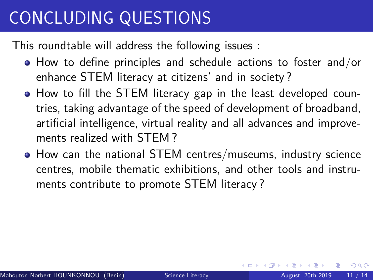<span id="page-44-0"></span>This roundtable will address the following issues :

- How to define principles and schedule actions to foster and/or enhance STEM literacy at citizens' and in society ?
- How to fill the STEM literacy gap in the least developed countries, taking advantage of the speed of development of broadband, artificial intelligence, virtual reality and all advances and improvements realized with STEM ?
- How can the national STEM centres/museums, industry science centres, mobile thematic exhibitions, and other tools and instruments contribute to promote STEM literacy ?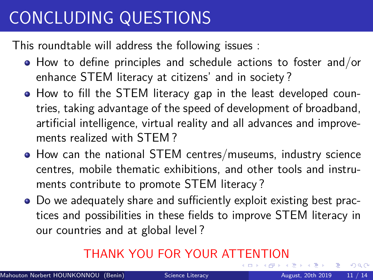<span id="page-45-0"></span>This roundtable will address the following issues :

- How to define principles and schedule actions to foster and/or enhance STEM literacy at citizens' and in society ?
- How to fill the STEM literacy gap in the least developed countries, taking advantage of the speed of development of broadband, artificial intelligence, virtual reality and all advances and improvements realized with STEM ?
- How can the national STEM centres/museums, industry science centres, mobile thematic exhibitions, and other tools and instruments contribute to promote STEM literacy ?
- Do we adequately share and sufficiently exploit existing best practices and possibilities in these fields to improve STEM literacy in our countries and at global level ?

#### THANK YOU FOR YOUR AT[TE](#page-44-0)[N](#page-46-4)[T](#page-41-0)[I](#page-42-0)[O](#page-45-0)[N](#page-41-0)

 $QQ$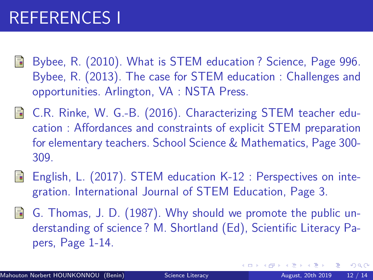# <span id="page-46-4"></span>REFERENCES I

- <span id="page-46-0"></span>Bybee, R. (2010). What is STEM education ? Science, Page 996. 螶 Bybee, R. (2013). The case for STEM education : Challenges and opportunities. Arlington, VA : NSTA Press.
- <span id="page-46-2"></span>C.R. Rinke, W. G.-B. (2016). Characterizing STEM teacher education : Affordances and constraints of explicit STEM preparation for elementary teachers. School Science & Mathematics, Page 300- 309.
- <span id="page-46-1"></span>English, L. (2017). STEM education K-12 : Perspectives on inte-F gration. International Journal of STEM Education, Page 3.
- <span id="page-46-3"></span>F. G. Thomas, J. D. (1987). Why should we promote the public understanding of science ? M. Shortland (Ed), Scientific Literacy Papers, Page 1-14.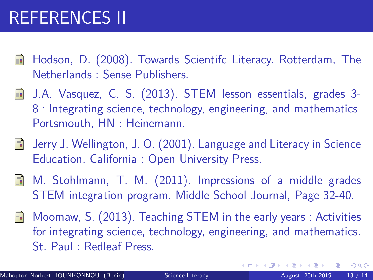# REFERENCES II

- <span id="page-47-4"></span>Hodson, D. (2008). Towards Scientifc Literacy. Rotterdam, The Netherlands : Sense Publishers.
- <span id="page-47-1"></span>J.A. Vasquez, C. S. (2013). STEM lesson essentials, grades 3- 8 : Integrating science, technology, engineering, and mathematics. Portsmouth, HN : Heinemann.
- <span id="page-47-3"></span>Jerry J. Wellington, J. O. (2001). Language and Literacy in Science 量 Education. California : Open University Press.
- <span id="page-47-2"></span>品 M. Stohlmann, T. M. (2011). Impressions of a middle grades STEM integration program. Middle School Journal, Page 32-40.
- <span id="page-47-0"></span>Moomaw, S. (2013). Teaching STEM in the early years : Activities for integrating science, technology, engineering, and mathematics. St. Paul : Redleaf Press.

 $QQ$